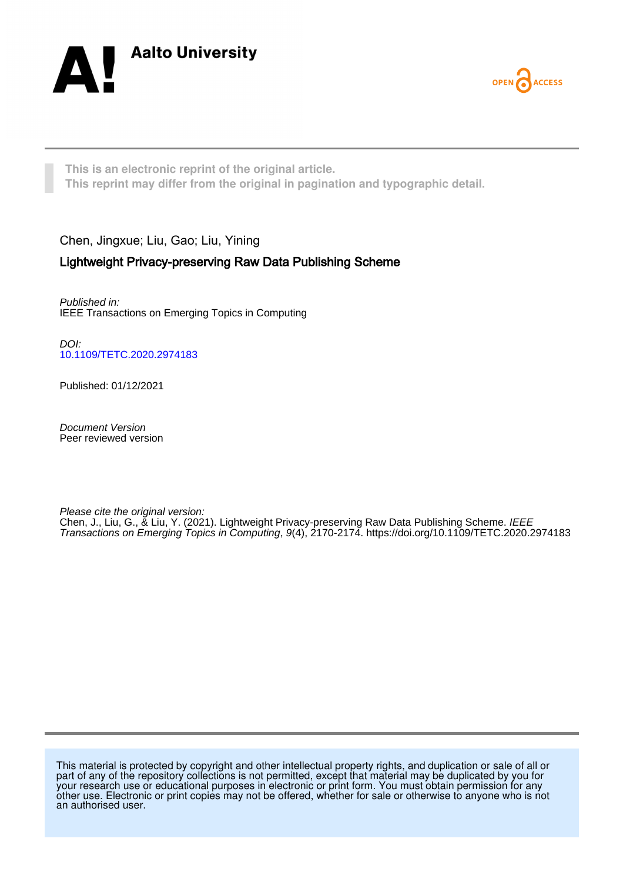



**This is an electronic reprint of the original article. This reprint may differ from the original in pagination and typographic detail.**

# Chen, Jingxue; Liu, Gao; Liu, Yining

# Lightweight Privacy-preserving Raw Data Publishing Scheme

Published in: IEEE Transactions on Emerging Topics in Computing

DOI: [10.1109/TETC.2020.2974183](https://doi.org/10.1109/TETC.2020.2974183)

Published: 01/12/2021

Document Version Peer reviewed version

Please cite the original version:

Chen, J., Liu, G., & Liu, Y. (2021). Lightweight Privacy-preserving Raw Data Publishing Scheme. *IEEE* Transactions on Emerging Topics in Computing, 9(4), 2170-2174. <https://doi.org/10.1109/TETC.2020.2974183>

This material is protected by copyright and other intellectual property rights, and duplication or sale of all or part of any of the repository collections is not permitted, except that material may be duplicated by you for your research use or educational purposes in electronic or print form. You must obtain permission for any other use. Electronic or print copies may not be offered, whether for sale or otherwise to anyone who is not an authorised user.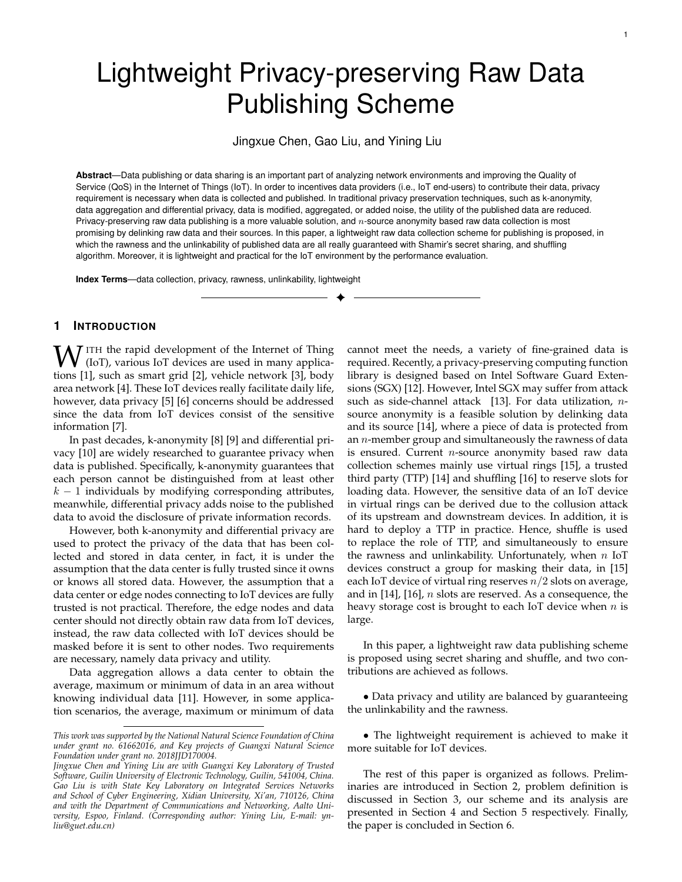# Lightweight Privacy-preserving Raw Data Publishing Scheme

Jingxue Chen, Gao Liu, and Yining Liu

**Abstract**—Data publishing or data sharing is an important part of analyzing network environments and improving the Quality of Service (QoS) in the Internet of Things (IoT). In order to incentives data providers (i.e., IoT end-users) to contribute their data, privacy requirement is necessary when data is collected and published. In traditional privacy preservation techniques, such as k-anonymity, data aggregation and differential privacy, data is modified, aggregated, or added noise, the utility of the published data are reduced. Privacy-preserving raw data publishing is a more valuable solution, and  $n$ -source anonymity based raw data collection is most promising by delinking raw data and their sources. In this paper, a lightweight raw data collection scheme for publishing is proposed, in which the rawness and the unlinkability of published data are all really guaranteed with Shamir's secret sharing, and shuffling algorithm. Moreover, it is lightweight and practical for the IoT environment by the performance evaluation.

✦

**Index Terms**—data collection, privacy, rawness, unlinkability, lightweight

# **1 INTRODUCTION**

 $\mathbf{W}$  ITH the rapid development of the Internet of Thing (IoT), various IoT devices are used in many applications  $\frac{11}{21}$  cuch as smart grid  $\frac{121}{21}$  vabiels notwork  $\frac{121}{21}$  body tions [1], such as smart grid [2], vehicle network [3], body area network [4]. These IoT devices really facilitate daily life, however, data privacy [5] [6] concerns should be addressed since the data from IoT devices consist of the sensitive information [7].

In past decades, k-anonymity [8] [9] and differential privacy [10] are widely researched to guarantee privacy when data is published. Specifically, k-anonymity guarantees that each person cannot be distinguished from at least other  $k - 1$  individuals by modifying corresponding attributes, meanwhile, differential privacy adds noise to the published data to avoid the disclosure of private information records.

However, both k-anonymity and differential privacy are used to protect the privacy of the data that has been collected and stored in data center, in fact, it is under the assumption that the data center is fully trusted since it owns or knows all stored data. However, the assumption that a data center or edge nodes connecting to IoT devices are fully trusted is not practical. Therefore, the edge nodes and data center should not directly obtain raw data from IoT devices, instead, the raw data collected with IoT devices should be masked before it is sent to other nodes. Two requirements are necessary, namely data privacy and utility.

Data aggregation allows a data center to obtain the average, maximum or minimum of data in an area without knowing individual data [11]. However, in some application scenarios, the average, maximum or minimum of data cannot meet the needs, a variety of fine-grained data is required. Recently, a privacy-preserving computing function library is designed based on Intel Software Guard Extensions (SGX) [12]. However, Intel SGX may suffer from attack such as side-channel attack [13]. For data utilization,  $n$ source anonymity is a feasible solution by delinking data and its source [14], where a piece of data is protected from an  $n$ -member group and simultaneously the rawness of data is ensured. Current  $n$ -source anonymity based raw data collection schemes mainly use virtual rings [15], a trusted third party (TTP) [14] and shuffling [16] to reserve slots for loading data. However, the sensitive data of an IoT device in virtual rings can be derived due to the collusion attack of its upstream and downstream devices. In addition, it is hard to deploy a TTP in practice. Hence, shuffle is used to replace the role of TTP, and simultaneously to ensure the rawness and unlinkability. Unfortunately, when  $n$  IoT devices construct a group for masking their data, in [15] each IoT device of virtual ring reserves  $n/2$  slots on average, and in  $[14]$ ,  $[16]$ ,  $n$  slots are reserved. As a consequence, the heavy storage cost is brought to each IoT device when  $n$  is large.

In this paper, a lightweight raw data publishing scheme is proposed using secret sharing and shuffle, and two contributions are achieved as follows.

• Data privacy and utility are balanced by guaranteeing the unlinkability and the rawness.

• The lightweight requirement is achieved to make it more suitable for IoT devices.

The rest of this paper is organized as follows. Preliminaries are introduced in Section 2, problem definition is discussed in Section 3, our scheme and its analysis are presented in Section 4 and Section 5 respectively. Finally, the paper is concluded in Section 6.

*This work was supported by the National Natural Science Foundation of China under grant no. 61662016, and Key projects of Guangxi Natural Science Foundation under grant no. 2018JJD170004.*

*Jingxue Chen and Yining Liu are with Guangxi Key Laboratory of Trusted Software, Guilin University of Electronic Technology, Guilin, 541004, China. Gao Liu is with State Key Laboratory on Integrated Services Networks and School of Cyber Engineering, Xidian University, Xi'an, 710126, China and with the Department of Communications and Networking, Aalto University, Espoo, Finland. (Corresponding author: Yining Liu, E-mail: ynliu@guet.edu.cn)*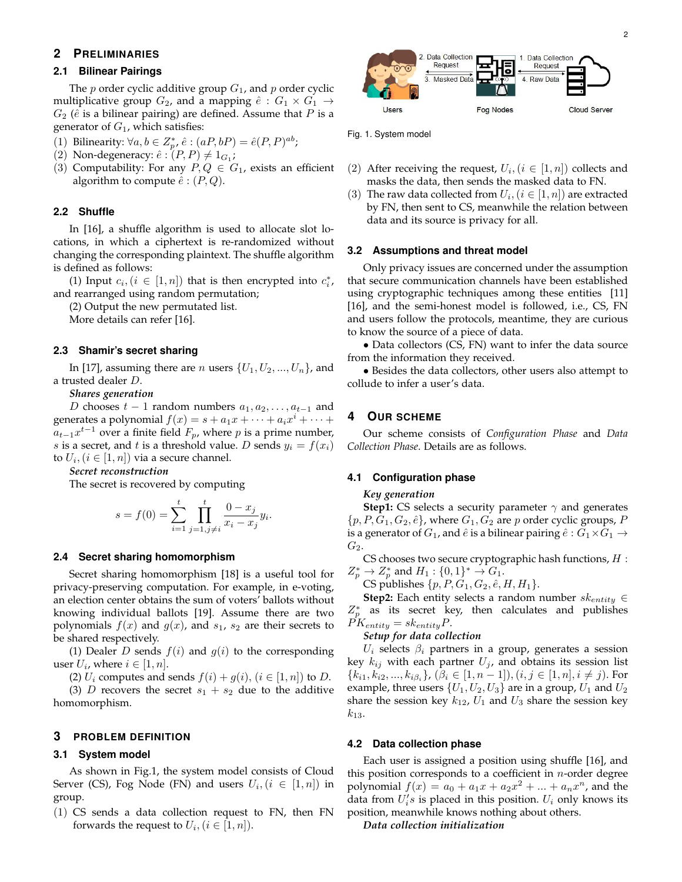# **2 PRELIMINARIES**

# **2.1 Bilinear Pairings**

The  $p$  order cyclic additive group  $G_1$ , and  $p$  order cyclic multiplicative group  $G_2$ , and a mapping  $\hat{e}: G_1 \times G_1 \rightarrow$  $G_2$  ( $\hat{e}$  is a bilinear pairing) are defined. Assume that P is a generator of  $G_1$ , which satisfies:

(1) Bilinearity: 
$$
\forall a, b \in Z_p^*, \hat{e} : (aP, bP) = \hat{e}(P, P)^{ab}
$$
;

- (1) Dimearity:  $\forall u, v \in \mathbb{Z}_p$ ,  $e : (u, v)$ <br>
(2) Non-degeneracy:  $\hat{e} : (P, P) \neq 1_{G_1};$
- (3) Computability: For any  $P, Q \in G_1$ , exists an efficient algorithm to compute  $\hat{e}$  :  $(P,Q)$ .

# **2.2 Shuffle**

In [16], a shuffle algorithm is used to allocate slot locations, in which a ciphertext is re-randomized without changing the corresponding plaintext. The shuffle algorithm is defined as follows:

(1) Input  $c_i$ ,  $(i \in [1, n])$  that is then encrypted into  $c_i^*$ , and rearranged using random permutation;

(2) Output the new permutated list.

More details can refer [16].

# **2.3 Shamir's secret sharing**

In [17], assuming there are *n* users  $\{U_1, U_2, ..., U_n\}$ , and a trusted dealer D.

#### *Shares generation*

D chooses  $t-1$  random numbers  $a_1, a_2, \ldots, a_{t-1}$  and generates a polynomial  $f(x) = s + a_1x + \cdots + a_ix^i + \cdots +$  $a_{t-1}x^{t-1}$  over a finite field  $F_p$ , where p is a prime number, *s* is a secret, and *t* is a threshold value. *D* sends  $y_i = f(x_i)$ to  $U_i, (i \in [1, n])$  via a secure channel.

*Secret reconstruction*

The secret is recovered by computing

$$
s = f(0) = \sum_{i=1}^{t} \prod_{j=1, j \neq i}^{t} \frac{0 - x_j}{x_i - x_j} y_i
$$

.

#### **2.4 Secret sharing homomorphism**

Secret sharing homomorphism [18] is a useful tool for privacy-preserving computation. For example, in e-voting, an election center obtains the sum of voters' ballots without knowing individual ballots [19]. Assume there are two polynomials  $f(x)$  and  $g(x)$ , and  $s<sub>1</sub>$ ,  $s<sub>2</sub>$  are their secrets to be shared respectively.

(1) Dealer D sends  $f(i)$  and  $g(i)$  to the corresponding user  $U_i$ , where  $i \in [1, n]$ .

(2)  $U_i$  computes and sends  $f(i) + g(i)$ ,  $(i \in [1, n])$  to D.

(3) D recovers the secret  $s_1 + s_2$  due to the additive homomorphism.

### **3 PROBLEM DEFINITION**

#### **3.1 System model**

As shown in Fig.1, the system model consists of Cloud Server (CS), Fog Node (FN) and users  $U_i, (i \in [1, n])$  in group.

(1) CS sends a data collection request to FN, then FN forwards the request to  $U_i, (i \in [1, n]).$ 



Fig. 1. System model

- (2) After receiving the request,  $U_i$ ,  $(i \in [1, n])$  collects and masks the data, then sends the masked data to FN.
- (3) The raw data collected from  $U_i$ ,  $(i \in [1, n])$  are extracted by FN, then sent to CS, meanwhile the relation between data and its source is privacy for all.

# **3.2 Assumptions and threat model**

Only privacy issues are concerned under the assumption that secure communication channels have been established using cryptographic techniques among these entities [11] [16], and the semi-honest model is followed, i.e., CS, FN and users follow the protocols, meantime, they are curious to know the source of a piece of data.

• Data collectors (CS, FN) want to infer the data source from the information they received.

• Besides the data collectors, other users also attempt to collude to infer a user's data.

# **4 OUR SCHEME**

Our scheme consists of *Configuration Phase* and *Data Collection Phase*. Details are as follows.

#### **4.1 Configuration phase**

#### *Key generation*

**Step1:** CS selects a security parameter  $\gamma$  and generates  $\{p, P, G_1, G_2, \hat{e}\}\$ , where  $G_1, G_2$  are p order cyclic groups, P is a generator of  $G_1$ , and  $\hat{e}$  is a bilinear pairing  $\hat{e}: G_1 \times G_1 \rightarrow$  $G_2$ .

CS chooses two secure cryptographic hash functions,  $H$  :  $Z_p^* \to Z_p^*$  and  $H_1 : \{0,1\}^* \to G_1$ .

CS publishes  $\{p, P, G_1, G_2, \hat{e}, H, H_1\}.$ 

**Step2:** Each entity selects a random number  $sk_{entity} \in$  $Z_p^*$  as its secret key, then calculates and publishes  $\hat{PK}_{entity} = sk_{entity}P.$ 

*Setup for data collection*

 $U_i$  selects  $\beta_i$  partners in a group, generates a session key  $k_{ij}$  with each partner  $U_j$ , and obtains its session list  ${k_{i1}, k_{i2}, ..., k_{i\beta_i}}$ ,  $(\beta_i \in [1, n-1]), (i, j \in [1, n], i \neq j)$ . For example, three users  $\{U_1, U_2, U_3\}$  are in a group,  $U_1$  and  $U_2$ share the session key  $k_{12}$ ,  $U_1$  and  $U_3$  share the session key  $k_{13}$ .

#### **4.2 Data collection phase**

Each user is assigned a position using shuffle [16], and this position corresponds to a coefficient in  $n$ -order degree polynomial  $f(x) = a_0 + a_1x + a_2x^2 + ... + a_nx^n$ , and the data from  $U_i's$  is placed in this position.  $U_i$  only knows its position, meanwhile knows nothing about others.

*Data collection initialization*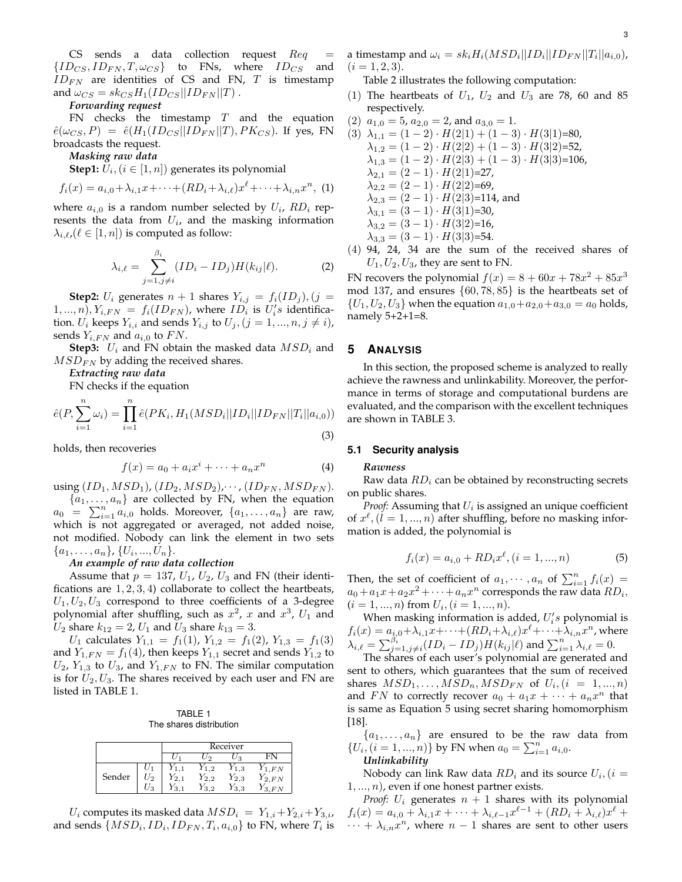CS sends a data collection request  $Req$  ${ID_{CS},ID_{FN},T,\omega_{CS}}$  to FNs, where  $ID_{CS}$  and  $ID_{FN}$  are identities of CS and FN, T is timestamp and  $\omega_{CS} = sk_{CS}H_1(ID_{CS}||ID_{FN}||T)$ .

*Forwarding request*

FN checks the timestamp  $T$  and the equation  $\hat{e}(\omega_{CS}, P) = \hat{e}(H_1(ID_{CS} || ID_{FN} || T), PK_{CS})$ . If yes, FN broadcasts the request.

*Masking raw data*

**Step1:**  $U_i$ ,  $(i \in [1, n])$  generates its polynomial

$$
f_i(x) = a_{i,0} + \lambda_{i,1}x + \dots + (RD_i + \lambda_{i,\ell})x^{\ell} + \dots + \lambda_{i,n}x^n, (1)
$$

where  $a_{i,0}$  is a random number selected by  $U_i$ ,  $RD_i$  represents the data from  $U_i$ , and the masking information  $\lambda_{i,\ell}$ ,( $\ell \in [1, n]$ ) is computed as follow:

$$
\lambda_{i,\ell} = \sum_{j=1,j\neq i}^{\beta_i} (ID_i - ID_j)H(k_{ij}|\ell). \tag{2}
$$

**Step2:**  $U_i$  generates  $n + 1$  shares  $Y_{i,j} = f_i(ID_j), (j =$  $(1, ..., n), Y_{i, FN} = f_i(ID_{FN}),$  where  $ID_i$  is  $U_i's$  identification.  $U_i$  keeps  $Y_{i,i}$  and sends  $Y_{i,j}$  to  $U_j$ ,  $(j = 1, ..., n, j \neq i)$ , sends  $Y_{i,FN}$  and  $a_{i,0}$  to  $FN$ .

**Step3:**  $U_i$  and FN obtain the masked data  $MSD_i$  and  $MSD_{FN}$  by adding the received shares.

*Extracting raw data*

FN checks if the equation

$$
\hat{e}(P, \sum_{i=1}^{n} \omega_i) = \prod_{i=1}^{n} \hat{e}(PK_i, H_1(MSD_i||ID_i||ID_{FN}||T_i||a_{i,0}))
$$
\n(3)

holds, then recoveries

$$
f(x) = a_0 + a_i x^i + \dots + a_n x^n \tag{4}
$$

using  $(ID_1, MSD_1), (ID_2, MSD_2), \cdots, (ID_{FN}, MSD_{FN}).$ 

 $\{a_1, \ldots, a_n\}$  are collected by FN, when the equation  $a_0 = \sum_{i=1}^n a_{i,0}$  holds. Moreover,  $\{a_1, \ldots, a_n\}$  are raw, which is not aggregated or averaged, not added noise, not modified. Nobody can link the element in two sets  $\{a_1, \ldots, a_n\}, \{U_i, \ldots, U_n\}.$ 

#### *An example of raw data collection*

Assume that  $p = 137$ ,  $U_1$ ,  $U_2$ ,  $U_3$  and FN (their identifications are  $1, 2, 3, 4$ ) collaborate to collect the heartbeats,  $U_1, U_2, U_3$  correspond to three coefficients of a 3-degree polynomial after shuffling, such as  $x^2$ , x and  $x^3$ ,  $U_1$  and  $U_2$  share  $k_{12} = 2$ ,  $U_1$  and  $U_3$  share  $k_{13} = 3$ .

 $U_1$  calculates  $Y_{1,1} = f_1(1)$ ,  $Y_{1,2} = f_1(2)$ ,  $Y_{1,3} = f_1(3)$ and  $Y_{1,FN} = f_1(4)$ , then keeps  $Y_{1,1}$  secret and sends  $Y_{1,2}$  to  $U_2$ ,  $Y_{1,3}$  to  $U_3$ , and  $Y_{1,FN}$  to FN. The similar computation is for  $U_2, U_3$ . The shares received by each user and FN are listed in TABLE 1.

TABLE 1 The shares distribution

|        |                 | Receiver |                   |                |         |  |
|--------|-----------------|----------|-------------------|----------------|---------|--|
|        |                 |          | ി                 | 23             |         |  |
|        |                 |          | 1.2               | $^{\prime}1.3$ | FN      |  |
| Sender | $\mathcal{I}_2$ | 2.1      | $^{\prime}2.2$    | $Y_{2,3}$      | 2, FN   |  |
|        | - 3             | ≘        | $\mathbf{r}$<br>2 | 3.3            | FN<br>9 |  |

 $U_i$  computes its masked data  $MSD_i = Y_{1,i} + Y_{2,i} + Y_{3,i}$ , and sends  $\{MSD_i, ID_i, ID_{FN}, T_i, a_{i,0}\}$  to FN, where  $T_i$  is a timestamp and  $\omega_i = s k_i H_i (MSD_i || ID_i || ID_{FN} || T_i || a_{i,0})$ ,  $(i = 1, 2, 3).$ 

Table 2 illustrates the following computation:

- (1) The heartbeats of  $U_1$ ,  $U_2$  and  $U_3$  are 78, 60 and 85 respectively.
- (2)  $a_{1,0} = 5$ ,  $a_{2,0} = 2$ , and  $a_{3,0} = 1$ .

(3) 
$$
\lambda_{1,1} = (1-2) \cdot H(2|1) + (1-3) \cdot H(3|1)=80,
$$
  
\n $\lambda_{1,2} = (1-2) \cdot H(2|2) + (1-3) \cdot H(3|2)=52,$   
\n $\lambda_{1,3} = (1-2) \cdot H(2|3) + (1-3) \cdot H(3|3)=106,$   
\n $\lambda_{2,1} = (2-1) \cdot H(2|1)=27,$   
\n $\lambda_{2,2} = (2-1) \cdot H(2|3)=114,$  and  
\n $\lambda_{3,1} = (3-1) \cdot H(3|1)=30,$   
\n $\lambda_{3,2} = (3-1) \cdot H(3|2)=16,$   
\n $\lambda_{3,3} = (3-1) \cdot H(3|3)=54.$   
\n(4) 94, 24, 34 are the sum of the received shares of

 $U_1, U_2, U_3$ , they are sent to FN.

FN recovers the polynomial  $f(x) = 8 + 60x + 78x^2 + 85x^3$ mod 137, and ensures  $\{60, 78, 85\}$  is the heartbeats set of  ${U_1, U_2, U_3}$  when the equation  $a_{1,0}+a_{2,0}+a_{3,0}=a_0$  holds, namely 5+2+1=8.

# **5 ANALYSIS**

In this section, the proposed scheme is analyzed to really achieve the rawness and unlinkability. Moreover, the performance in terms of storage and computational burdens are evaluated, and the comparison with the excellent techniques are shown in TABLE 3.

# **5.1 Security analysis**

#### *Rawness*

Raw data  $RD_i$  can be obtained by reconstructing secrets on public shares.

*Proof:* Assuming that  $U_i$  is assigned an unique coefficient of  $x^{\ell}$ ,  $(l = 1, ..., n)$  after shuffling, before no masking information is added, the polynomial is

$$
f_i(x) = a_{i,0} + RD_i x^{\ell}, (i = 1, ..., n)
$$
 (5)

Then, the set of coefficient of  $a_1, \dots, a_n$  of  $\sum_{i=1}^n f_i(x) =$  $a_0 + a_1x + a_2x^2 + \cdots + a_nx^n$  corresponds the raw data  $RD_i$ ,  $(i = 1, ..., n)$  from  $U_i$ ,  $(i = 1, ..., n)$ .

When masking information is added,  $U_i's$  polynomial is  $f_i(x) = a_{i,0} + \lambda_{i,1}x + \cdots + (RD_i + \lambda_{i,\ell})x^\ell + \cdots + \lambda_{i,n}x^n$ , where  $\lambda_{i,\ell} = \sum_{j=1,j\neq i}^{\beta_i} (ID_i - ID_j)H(k_{ij}|\ell)$  and  $\sum_{i=1}^n \lambda_{i,\ell} = 0.$ 

The shares of each user's polynomial are generated and sent to others, which guarantees that the sum of received shares  $MSD_1, \ldots, MSD_n, MSD_{FN}$  of  $U_i$ ,  $(i = 1, ..., n)$ and FN to correctly recover  $a_0 + a_1x + \cdots + a_nx^n$  that is same as Equation 5 using secret sharing homomorphism [18].

 ${a_1, \ldots, a_n}$  are ensured to be the raw data from  $\{U_i, (i = 1, ..., n)\}\$  by FN when  $a_0 = \sum_{i=1}^n a_{i,0}$ .

### *Unlinkability*

Nobody can link Raw data  $RD_i$  and its source  $U_i, (i = 1)$  $1, \ldots, n$ , even if one honest partner exists.

*Proof:*  $U_i$  generates  $n + 1$  shares with its polynomial  $f_i(x) = a_{i,0} + \lambda_{i,1}x + \cdots + \lambda_{i,\ell-1}x^{\ell-1} + (RD_i + \lambda_{i,\ell})x^{\ell} +$  $\cdots + \lambda_{i,n} x^n$ , where  $n-1$  shares are sent to other users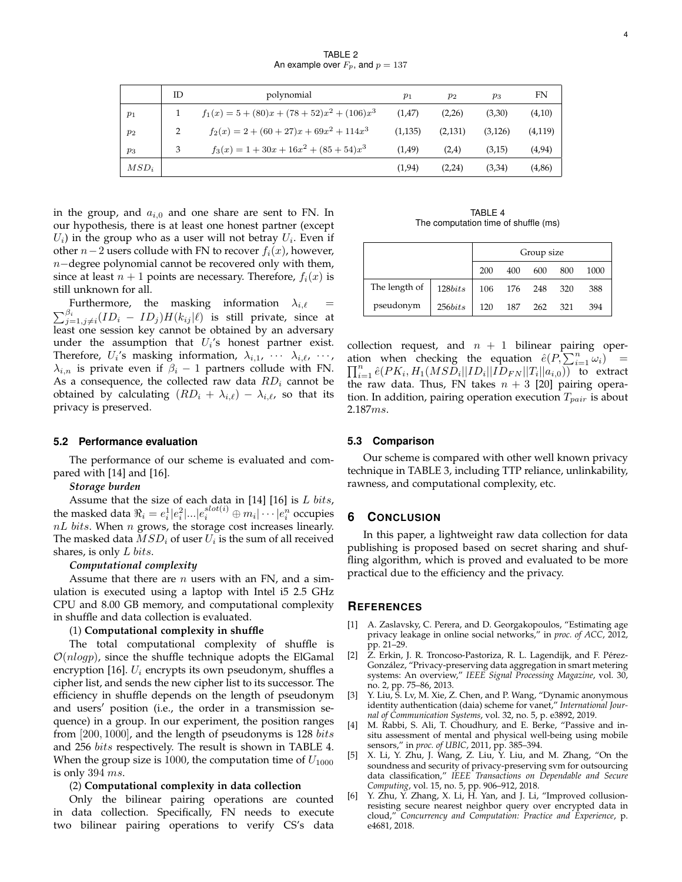TABLE 2 An example over  $F_p$ , and  $p = 137$ 

|         | ID | polynomial                                     | $p_1$   | $p_2$   | $p_3$    | FN       |
|---------|----|------------------------------------------------|---------|---------|----------|----------|
| $p_1$   |    | $f_1(x) = 5 + (80)x + (78 + 52)x^2 + (106)x^3$ | (1,47)  | (2,26)  | (3,30)   | (4,10)   |
| $p_2$   |    | $f_2(x) = 2 + (60 + 27)x + 69x^2 + 114x^3$     | (1,135) | (2,131) | (3, 126) | (4, 119) |
| $p_3$   | 3  | $f_3(x) = 1 + 30x + 16x^2 + (85 + 54)x^3$      | (1,49)  | (2,4)   | (3,15)   | (4, 94)  |
| $MSD_i$ |    |                                                | (1, 94) | (2,24)  | (3,34)   | (4,86)   |

in the group, and  $a_{i,0}$  and one share are sent to FN. In our hypothesis, there is at least one honest partner (except  $U_i$ ) in the group who as a user will not betray  $U_i$ . Even if other  $n-2$  users collude with FN to recover  $f_i(x)$ , however, n−degree polynomial cannot be recovered only with them, since at least  $n + 1$  points are necessary. Therefore,  $f_i(x)$  is still unknown for all.

 $\sum_{j=1,j\neq i}^{\beta_i} (ID_i \, - \, ID_j) H(k_{ij}|\ell)$  is still private, since at Furthermore, the masking information  $\lambda_{i,\ell}$  = least one session key cannot be obtained by an adversary under the assumption that  $U_i$ 's honest partner exist. Therefore,  $U_i$ 's masking information,  $\lambda_{i,1}$ ,  $\cdots$   $\lambda_{i,\ell}$ ,  $\cdots$ ,  $\lambda_{i,n}$  is private even if  $\beta_i - 1$  partners collude with FN. As a consequence, the collected raw data  $RD_i$  cannot be obtained by calculating  $(RD_i + \lambda_{i,\ell}) - \lambda_{i,\ell}$ , so that its privacy is preserved.

#### **5.2 Performance evaluation**

The performance of our scheme is evaluated and compared with [14] and [16].

#### *Storage burden*

Assume that the size of each data in  $[14]$   $[16]$  is  $L$  bits, the masked data  $\Re_i = e_i^1 | e_i^2 |...| e_i^{slot(i)} \oplus m_i | \cdots | e_i^n$  occupies  $nL$  bits. When  $n$  grows, the storage cost increases linearly. The masked data  $MSD_i$  of user  $U_i$  is the sum of all received shares, is only  $L \; bits.$ 

#### *Computational complexity*

Assume that there are  $n$  users with an FN, and a simulation is executed using a laptop with Intel i5 2.5 GHz CPU and 8.00 GB memory, and computational complexity in shuffle and data collection is evaluated.

#### (1) **Computational complexity in shuffle**

The total computational complexity of shuffle is  $O(nlogp)$ , since the shuffle technique adopts the ElGamal encryption [16].  $U_i$  encrypts its own pseudonym, shuffles a cipher list, and sends the new cipher list to its successor. The efficiency in shuffle depends on the length of pseudonym and users' position (i.e., the order in a transmission sequence) in a group. In our experiment, the position ranges from  $[200, 1000]$ , and the length of pseudonyms is 128 bits and 256 bits respectively. The result is shown in TABLE 4. When the group size is 1000, the computation time of  $U_{1000}$ is only 394 ms.

# (2) **Computational complexity in data collection**

Only the bilinear pairing operations are counted in data collection. Specifically, FN needs to execute two bilinear pairing operations to verify CS's data

TABLE 4 The computation time of shuffle (ms)

|               | Group size |     |     |     |     |      |
|---------------|------------|-----|-----|-----|-----|------|
|               |            | 200 | 400 | 600 | 800 | 1000 |
| The length of | 128bits    | 106 | 176 | 248 | 320 | 388  |
| pseudonym     | 256bits    | 120 | 187 | 262 | 321 | 394  |

collection request, and  $n + 1$  bilinear pairing operation when checking the equation  $\hat{e}(P, \sum_{i=1}^{n} \omega_i)$  =  $\prod_{i=1}^{n} \hat{e}(PK_i, H_1(MSD_i||ID_i||ID_{FN}||T_i||a_{i,0}))$  to extract the raw data. Thus, FN takes  $n + 3$  [20] pairing operation. In addition, pairing operation execution  $T_{pair}$  is about 2.187ms.

# **5.3 Comparison**

Our scheme is compared with other well known privacy technique in TABLE 3, including TTP reliance, unlinkability, rawness, and computational complexity, etc.

#### **6 CONCLUSION**

In this paper, a lightweight raw data collection for data publishing is proposed based on secret sharing and shuffling algorithm, which is proved and evaluated to be more practical due to the efficiency and the privacy.

#### **REFERENCES**

- [1] A. Zaslavsky, C. Perera, and D. Georgakopoulos, "Estimating age privacy leakage in online social networks," in *proc. of ACC*, 2012, pp. 21–29.
- [2] Z. Erkin, J. R. Troncoso-Pastoriza, R. L. Lagendijk, and F. Pérez-Gonzalez, "Privacy-preserving data aggregation in smart metering ´ systems: An overview," *IEEE Signal Processing Magazine*, vol. 30, no. 2, pp. 75–86, 2013.
- [3] Y. Liu, S. Lv, M. Xie, Z. Chen, and P. Wang, "Dynamic anonymous identity authentication (daia) scheme for vanet," *International Journal of Communication Systems*, vol. 32, no. 5, p. e3892, 2019.
- [4] M. Rabbi, S. Ali, T. Choudhury, and E. Berke, "Passive and insitu assessment of mental and physical well-being using mobile sensors," in *proc. of UBIC*, 2011, pp. 385–394.
- [5] X. Li, Y. Zhu, J. Wang, Z. Liu, Y. Liu, and M. Zhang, "On the soundness and security of privacy-preserving svm for outsourcing data classification," *IEEE Transactions on Dependable and Secure Computing*, vol. 15, no. 5, pp. 906–912, 2018.
- [6] Y. Zhu, Y. Zhang, X. Li, H. Yan, and J. Li, "Improved collusionresisting secure nearest neighbor query over encrypted data in cloud," *Concurrency and Computation: Practice and Experience*, p. e4681, 2018.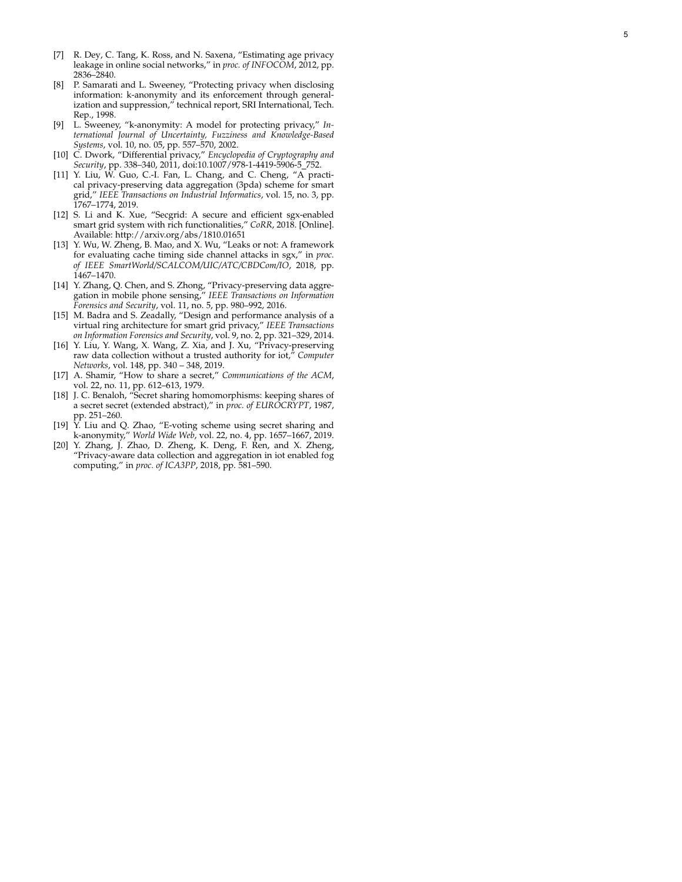- [7] R. Dey, C. Tang, K. Ross, and N. Saxena, "Estimating age privacy leakage in online social networks," in *proc. of INFOCOM*, 2012, pp. 2836–2840.
- [8] P. Samarati and L. Sweeney, "Protecting privacy when disclosing information: k-anonymity and its enforcement through generalization and suppression," technical report, SRI International, Tech. Rep., 1998.
- [9] L. Sweeney, "k-anonymity: A model for protecting privacy," *International Journal of Uncertainty, Fuzziness and Knowledge-Based Systems*, vol. 10, no. 05, pp. 557–570, 2002.
- [10] C. Dwork, "Differential privacy," *Encyclopedia of Cryptography and Security*, pp. 338–340, 2011, doi:10.1007/978-1-4419-5906-5 752.
- [11] Y. Liu, W. Guo, C.-I. Fan, L. Chang, and C. Cheng, "A practical privacy-preserving data aggregation (3pda) scheme for smart grid," *IEEE Transactions on Industrial Informatics*, vol. 15, no. 3, pp. 1767–1774, 2019.
- [12] S. Li and K. Xue, "Secgrid: A secure and efficient sgx-enabled smart grid system with rich functionalities," *CoRR*, 2018. [Online]. Available: http://arxiv.org/abs/1810.01651
- [13] Y. Wu, W. Zheng, B. Mao, and X. Wu, "Leaks or not: A framework for evaluating cache timing side channel attacks in sgx," in *proc. of IEEE SmartWorld/SCALCOM/UIC/ATC/CBDCom/IO*, 2018, pp. 1467–1470.
- [14] Y. Zhang, Q. Chen, and S. Zhong, "Privacy-preserving data aggregation in mobile phone sensing," *IEEE Transactions on Information Forensics and Security*, vol. 11, no. 5, pp. 980–992, 2016.
- [15] M. Badra and S. Zeadally, "Design and performance analysis of a virtual ring architecture for smart grid privacy," *IEEE Transactions on Information Forensics and Security*, vol. 9, no. 2, pp. 321–329, 2014.
- [16] Y. Liu, Y. Wang, X. Wang, Z. Xia, and J. Xu, "Privacy-preserving raw data collection without a trusted authority for iot," *Computer Networks*, vol. 148, pp. 340 – 348, 2019.
- [17] A. Shamir, "How to share a secret," *Communications of the ACM* , vol. 22, no. 11, pp. 612–613, 1979.
- [18] J. C. Benaloh, "Secret sharing homomorphisms: keeping shares of a secret secret (extended abstract)," in *proc. of EUROCRYPT*, 1987, pp. 251–260.
- [19] Y. Liu and Q. Zhao, "E-voting scheme using secret sharing and k-anonymity," *World Wide Web*, vol. 22, no. 4, pp. 1657–1667, 2019.
- [20] Y. Zhang, J. Zhao, D. Zheng, K. Deng, F. Ren, and X. Zheng, "Privacy-aware data collection and aggregation in iot enabled fog computing," in *proc. of ICA3PP*, 2018, pp. 581–590.